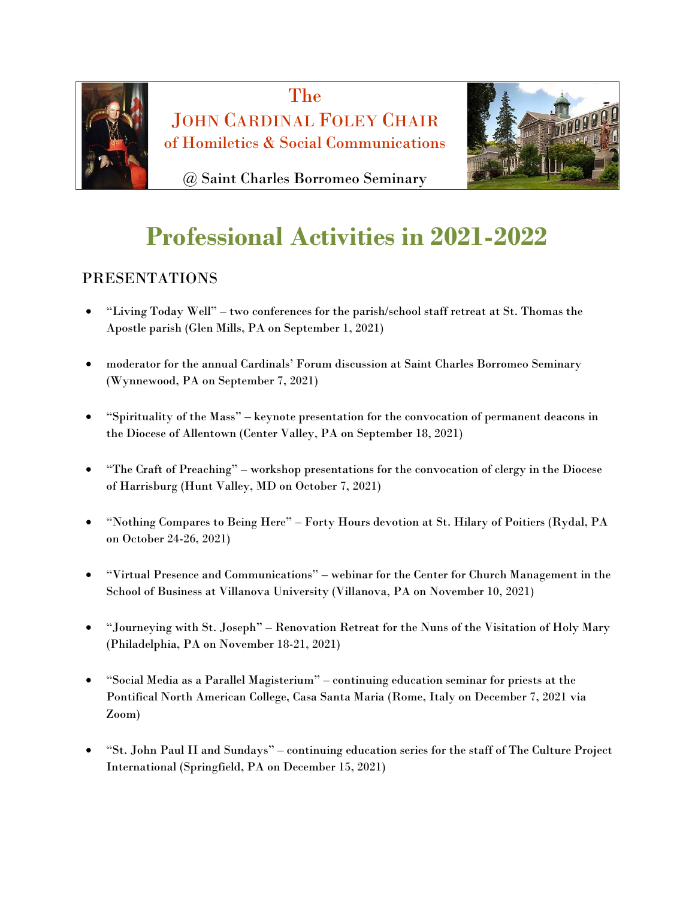

The JOHN CARDINAL FOLEY CHAIR of Homiletics & Social Communications



@ Saint Charles Borromeo Seminary

## **Professional Activities in 2021-2022**

## PRESENTATIONS

- "Living Today Well" two conferences for the parish/school staff retreat at St. Thomas the Apostle parish (Glen Mills, PA on September 1, 2021)
- moderator for the annual Cardinals' Forum discussion at Saint Charles Borromeo Seminary (Wynnewood, PA on September 7, 2021)
- "Spirituality of the Mass" keynote presentation for the convocation of permanent deacons in the Diocese of Allentown (Center Valley, PA on September 18, 2021)
- "The Craft of Preaching" workshop presentations for the convocation of clergy in the Diocese of Harrisburg (Hunt Valley, MD on October 7, 2021)
- "Nothing Compares to Being Here" Forty Hours devotion at St. Hilary of Poitiers (Rydal, PA on October 24-26, 2021)
- "Virtual Presence and Communications" webinar for the Center for Church Management in the School of Business at Villanova University (Villanova, PA on November 10, 2021)
- "Journeying with St. Joseph" Renovation Retreat for the Nuns of the Visitation of Holy Mary (Philadelphia, PA on November 18-21, 2021)
- "Social Media as a Parallel Magisterium" continuing education seminar for priests at the Pontifical North American College, Casa Santa Maria (Rome, Italy on December 7, 2021 via Zoom)
- "St. John Paul II and Sundays" continuing education series for the staff of The Culture Project International (Springfield, PA on December 15, 2021)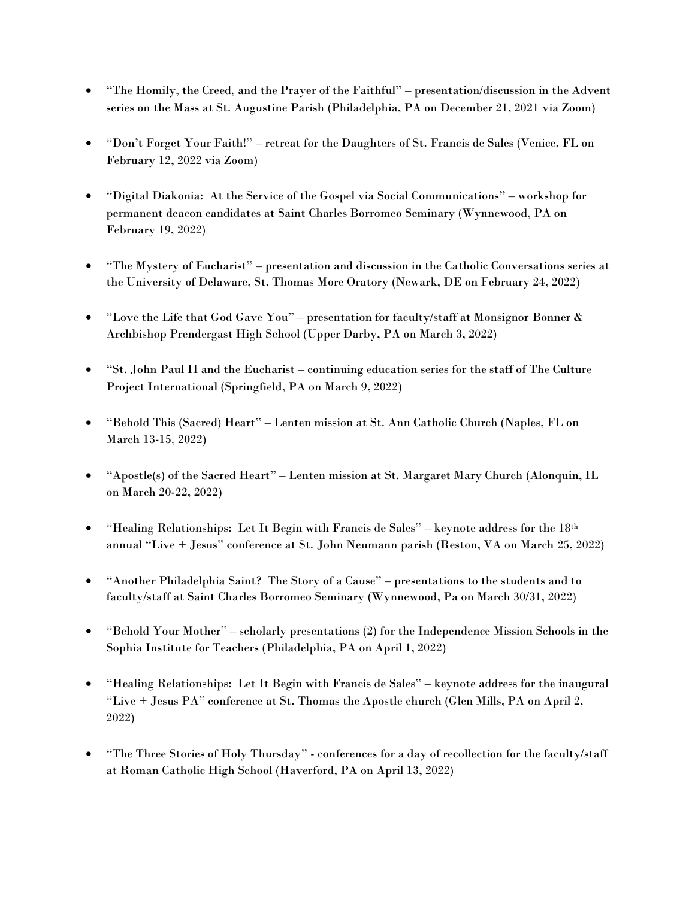- "The Homily, the Creed, and the Prayer of the Faithful" presentation/discussion in the Advent series on the Mass at St. Augustine Parish (Philadelphia, PA on December 21, 2021 via Zoom)
- "Don't Forget Your Faith!" retreat for the Daughters of St. Francis de Sales (Venice, FL on February 12, 2022 via Zoom)
- "Digital Diakonia: At the Service of the Gospel via Social Communications" workshop for permanent deacon candidates at Saint Charles Borromeo Seminary (Wynnewood, PA on February 19, 2022)
- "The Mystery of Eucharist" presentation and discussion in the Catholic Conversations series at the University of Delaware, St. Thomas More Oratory (Newark, DE on February 24, 2022)
- "Love the Life that God Gave You" presentation for faculty/staff at Monsignor Bonner & Archbishop Prendergast High School (Upper Darby, PA on March 3, 2022)
- "St. John Paul II and the Eucharist continuing education series for the staff of The Culture Project International (Springfield, PA on March 9, 2022)
- "Behold This (Sacred) Heart" Lenten mission at St. Ann Catholic Church (Naples, FL on March 13-15, 2022)
- "Apostle(s) of the Sacred Heart" Lenten mission at St. Margaret Mary Church (Alonquin, IL on March 20-22, 2022)
- "Healing Relationships: Let It Begin with Francis de Sales" keynote address for the  $18<sup>th</sup>$ annual "Live + Jesus" conference at St. John Neumann parish (Reston, VA on March 25, 2022)
- "Another Philadelphia Saint? The Story of a Cause" presentations to the students and to faculty/staff at Saint Charles Borromeo Seminary (Wynnewood, Pa on March 30/31, 2022)
- "Behold Your Mother" scholarly presentations (2) for the Independence Mission Schools in the Sophia Institute for Teachers (Philadelphia, PA on April 1, 2022)
- "Healing Relationships: Let It Begin with Francis de Sales" keynote address for the inaugural "Live + Jesus PA" conference at St. Thomas the Apostle church (Glen Mills, PA on April 2, 2022)
- "The Three Stories of Holy Thursday" conferences for a day of recollection for the faculty/staff at Roman Catholic High School (Haverford, PA on April 13, 2022)